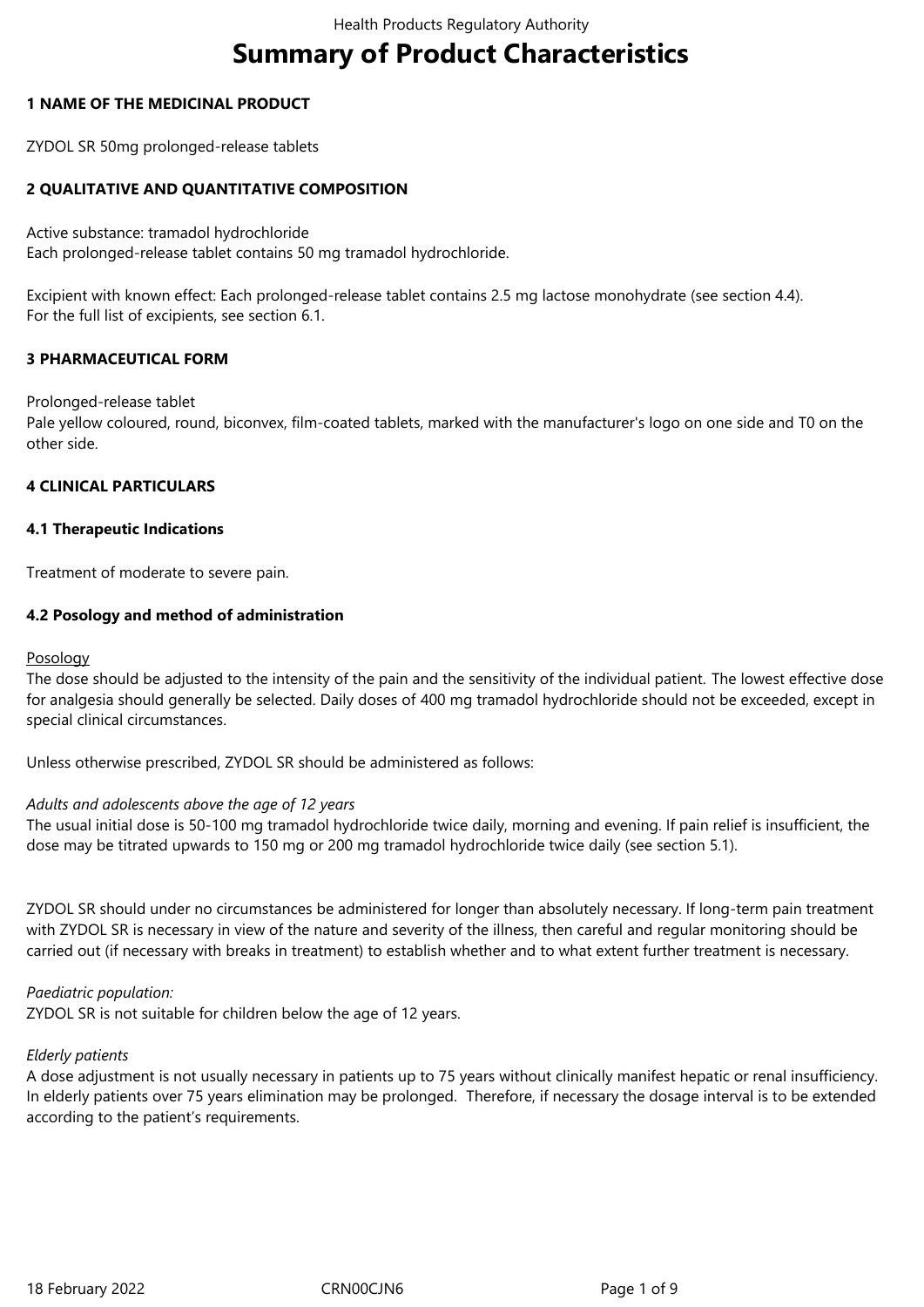# **Summary of Product Characteristics**

#### **1 NAME OF THE MEDICINAL PRODUCT**

ZYDOL SR 50mg prolonged-release tablets

## **2 QUALITATIVE AND QUANTITATIVE COMPOSITION**

Active substance: tramadol hydrochloride Each prolonged-release tablet contains 50 mg tramadol hydrochloride.

Excipient with known effect: Each prolonged-release tablet contains 2.5 mg lactose monohydrate (see section 4.4). For the full list of excipients, see section 6.1.

#### **3 PHARMACEUTICAL FORM**

Prolonged-release tablet

Pale yellow coloured, round, biconvex, film-coated tablets, marked with the manufacturer's logo on one side and T0 on the other side.

# **4 CLINICAL PARTICULARS**

#### **4.1 Therapeutic Indications**

Treatment of moderate to severe pain.

#### **4.2 Posology and method of administration**

#### Posology

The dose should be adjusted to the intensity of the pain and the sensitivity of the individual patient. The lowest effective dose for analgesia should generally be selected. Daily doses of 400 mg tramadol hydrochloride should not be exceeded, except in special clinical circumstances.

Unless otherwise prescribed, ZYDOL SR should be administered as follows:

#### *Adults and adolescents above the age of 12 years*

The usual initial dose is 50-100 mg tramadol hydrochloride twice daily, morning and evening. If pain relief is insufficient, the dose may be titrated upwards to 150 mg or 200 mg tramadol hydrochloride twice daily (see section 5.1).

ZYDOL SR should under no circumstances be administered for longer than absolutely necessary. If long-term pain treatment with ZYDOL SR is necessary in view of the nature and severity of the illness, then careful and regular monitoring should be carried out (if necessary with breaks in treatment) to establish whether and to what extent further treatment is necessary.

#### *Paediatric population:*

ZYDOL SR is not suitable for children below the age of 12 years.

#### *Elderly patients*

A dose adjustment is not usually necessary in patients up to 75 years without clinically manifest hepatic or renal insufficiency. In elderly patients over 75 years elimination may be prolonged. Therefore, if necessary the dosage interval is to be extended according to the patient's requirements.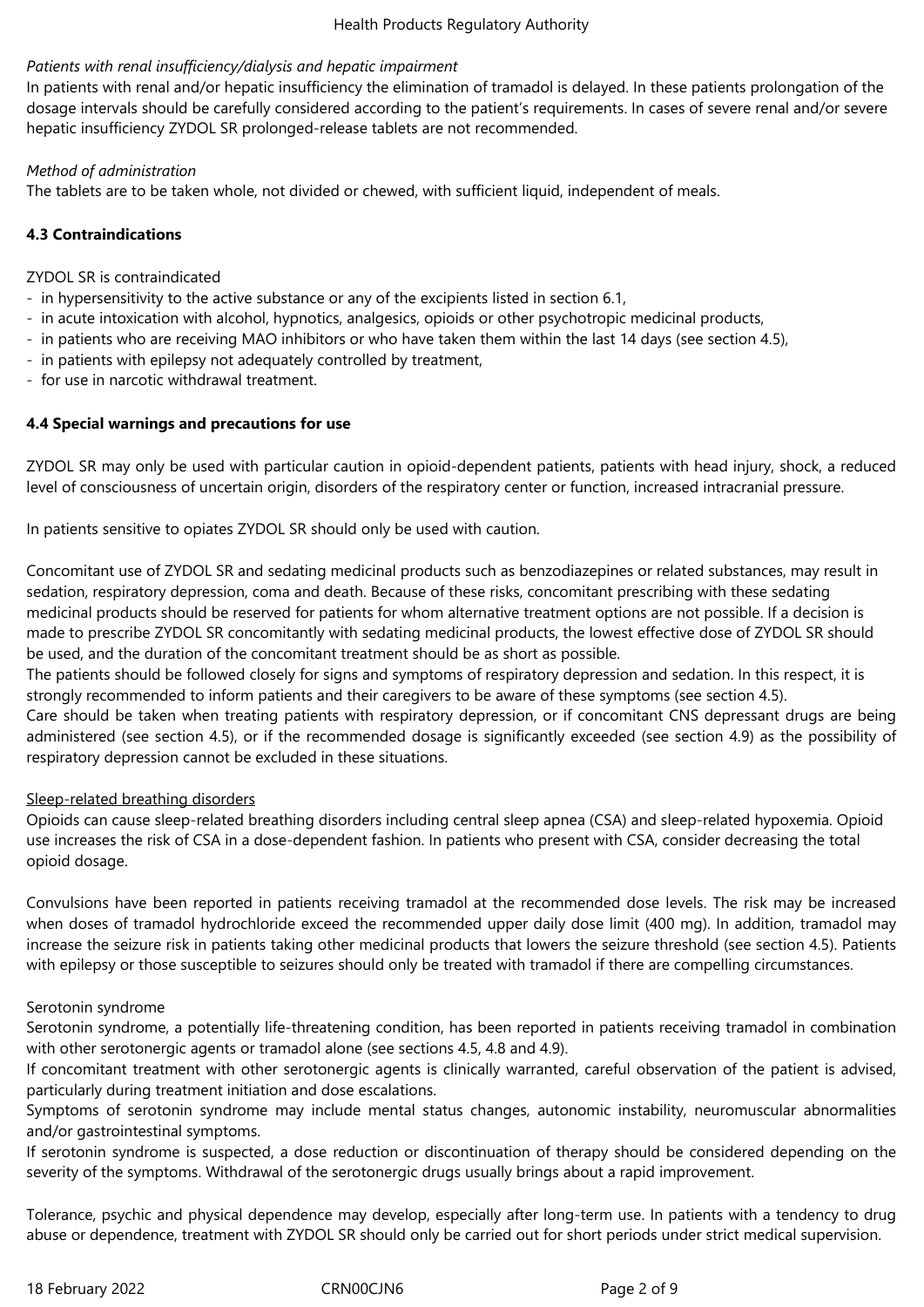## *Patients with renal insufficiency/dialysis and hepatic impairment*

In patients with renal and/or hepatic insufficiency the elimination of tramadol is delayed. In these patients prolongation of the dosage intervals should be carefully considered according to the patient's requirements. In cases of severe renal and/or severe hepatic insufficiency ZYDOL SR prolonged-release tablets are not recommended.

#### *Method of administration*

The tablets are to be taken whole, not divided or chewed, with sufficient liquid, independent of meals.

# **4.3 Contraindications**

ZYDOL SR is contraindicated

- in hypersensitivity to the active substance or any of the excipients listed in section 6.1,
- in acute intoxication with alcohol, hypnotics, analgesics, opioids or other psychotropic medicinal products,
- in patients who are receiving MAO inhibitors or who have taken them within the last 14 days (see section 4.5),
- in patients with epilepsy not adequately controlled by treatment,
- for use in narcotic withdrawal treatment.

## **4.4 Special warnings and precautions for use**

ZYDOL SR may only be used with particular caution in opioid-dependent patients, patients with head injury, shock, a reduced level of consciousness of uncertain origin, disorders of the respiratory center or function, increased intracranial pressure.

In patients sensitive to opiates ZYDOL SR should only be used with caution.

Concomitant use of ZYDOL SR and sedating medicinal products such as benzodiazepines or related substances, may result in sedation, respiratory depression, coma and death. Because of these risks, concomitant prescribing with these sedating medicinal products should be reserved for patients for whom alternative treatment options are not possible. If a decision is made to prescribe ZYDOL SR concomitantly with sedating medicinal products, the lowest effective dose of ZYDOL SR should be used, and the duration of the concomitant treatment should be as short as possible.

The patients should be followed closely for signs and symptoms of respiratory depression and sedation. In this respect, it is strongly recommended to inform patients and their caregivers to be aware of these symptoms (see section 4.5).

Care should be taken when treating patients with respiratory depression, or if concomitant CNS depressant drugs are being administered (see section 4.5), or if the recommended dosage is significantly exceeded (see section 4.9) as the possibility of respiratory depression cannot be excluded in these situations.

#### Sleep-related breathing disorders

Opioids can cause sleep-related breathing disorders including central sleep apnea (CSA) and sleep-related hypoxemia. Opioid use increases the risk of CSA in a dose-dependent fashion. In patients who present with CSA, consider decreasing the total opioid dosage.

Convulsions have been reported in patients receiving tramadol at the recommended dose levels. The risk may be increased when doses of tramadol hydrochloride exceed the recommended upper daily dose limit (400 mg). In addition, tramadol may increase the seizure risk in patients taking other medicinal products that lowers the seizure threshold (see section 4.5). Patients with epilepsy or those susceptible to seizures should only be treated with tramadol if there are compelling circumstances.

#### Serotonin syndrome

Serotonin syndrome, a potentially life-threatening condition, has been reported in patients receiving tramadol in combination with other serotonergic agents or tramadol alone (see sections 4.5, 4.8 and 4.9).

If concomitant treatment with other serotonergic agents is clinically warranted, careful observation of the patient is advised, particularly during treatment initiation and dose escalations.

Symptoms of serotonin syndrome may include mental status changes, autonomic instability, neuromuscular abnormalities and/or gastrointestinal symptoms.

If serotonin syndrome is suspected, a dose reduction or discontinuation of therapy should be considered depending on the severity of the symptoms. Withdrawal of the serotonergic drugs usually brings about a rapid improvement.

Tolerance, psychic and physical dependence may develop, especially after long-term use. In patients with a tendency to drug abuse or dependence, treatment with ZYDOL SR should only be carried out for short periods under strict medical supervision.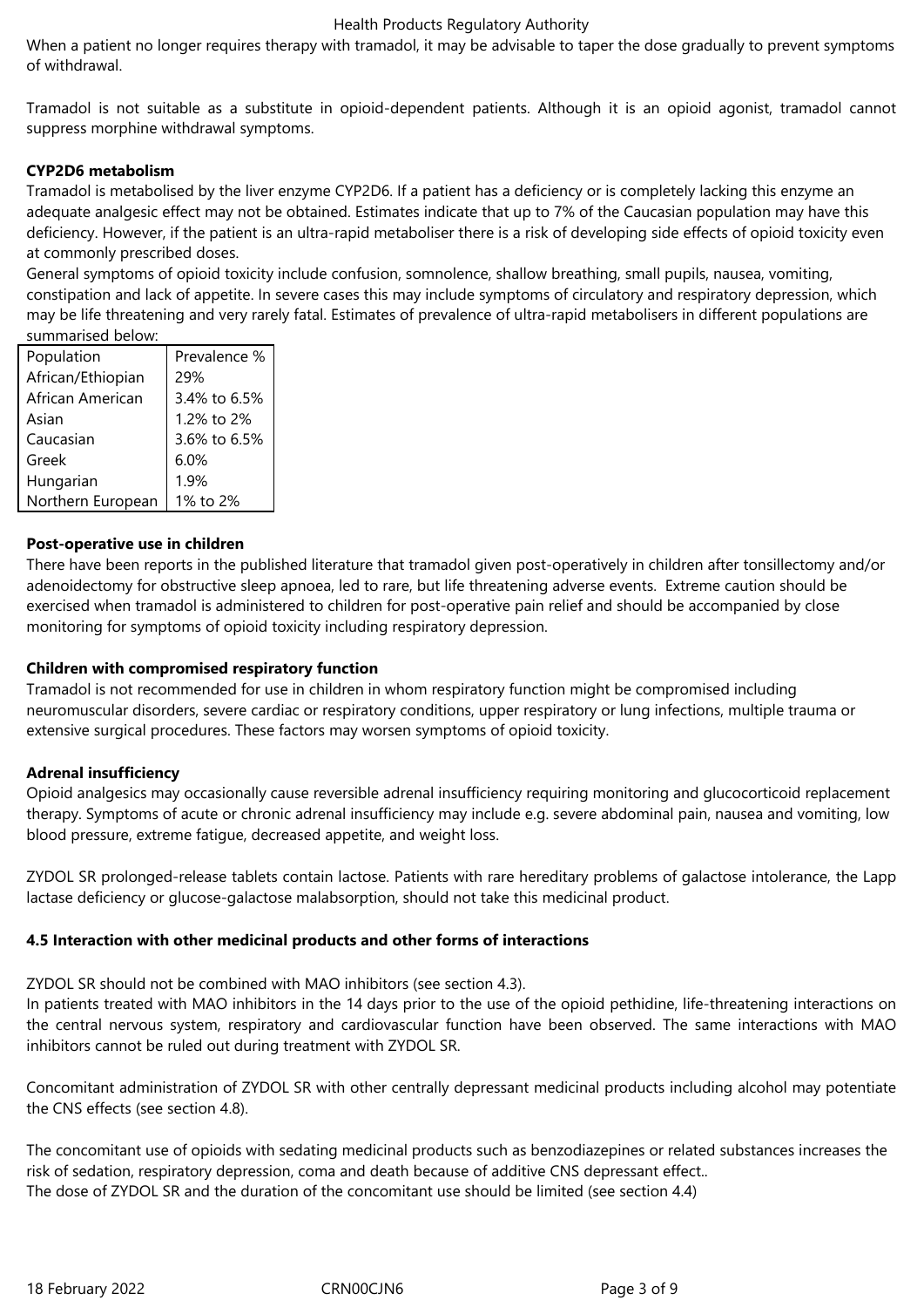When a patient no longer requires therapy with tramadol, it may be advisable to taper the dose gradually to prevent symptoms of withdrawal.

Tramadol is not suitable as a substitute in opioid-dependent patients. Although it is an opioid agonist, tramadol cannot suppress morphine withdrawal symptoms.

## **CYP2D6 metabolism**

Tramadol is metabolised by the liver enzyme CYP2D6. If a patient has a deficiency or is completely lacking this enzyme an adequate analgesic effect may not be obtained. Estimates indicate that up to 7% of the Caucasian population may have this deficiency. However, if the patient is an ultra-rapid metaboliser there is a risk of developing side effects of opioid toxicity even at commonly prescribed doses.

General symptoms of opioid toxicity include confusion, somnolence, shallow breathing, small pupils, nausea, vomiting, constipation and lack of appetite. In severe cases this may include symptoms of circulatory and respiratory depression, which may be life threatening and very rarely fatal. Estimates of prevalence of ultra-rapid metabolisers in different populations are summarised below:

| Population        | Prevalence % |
|-------------------|--------------|
| African/Ethiopian | 29%          |
| African American  | 3.4% to 6.5% |
| Asian             | 1.2% to 2%   |
| Caucasian         | 3.6% to 6.5% |
| Greek             | 6.0%         |
| Hungarian         | 1.9%         |
| Northern European | 1% to 2%     |

## **Post-operative use in children**

There have been reports in the published literature that tramadol given post-operatively in children after tonsillectomy and/or adenoidectomy for obstructive sleep apnoea, led to rare, but life threatening adverse events. Extreme caution should be exercised when tramadol is administered to children for post-operative pain relief and should be accompanied by close monitoring for symptoms of opioid toxicity including respiratory depression.

# **Children with compromised respiratory function**

Tramadol is not recommended for use in children in whom respiratory function might be compromised including neuromuscular disorders, severe cardiac or respiratory conditions, upper respiratory or lung infections, multiple trauma or extensive surgical procedures. These factors may worsen symptoms of opioid toxicity.

# **Adrenal insufficiency**

Opioid analgesics may occasionally cause reversible adrenal insufficiency requiring monitoring and glucocorticoid replacement therapy. Symptoms of acute or chronic adrenal insufficiency may include e.g. severe abdominal pain, nausea and vomiting, low blood pressure, extreme fatigue, decreased appetite, and weight loss.

ZYDOL SR prolonged-release tablets contain lactose. Patients with rare hereditary problems of galactose intolerance, the Lapp lactase deficiency or glucose-galactose malabsorption, should not take this medicinal product.

#### **4.5 Interaction with other medicinal products and other forms of interactions**

ZYDOL SR should not be combined with MAO inhibitors (see section 4.3).

In patients treated with MAO inhibitors in the 14 days prior to the use of the opioid pethidine, life-threatening interactions on the central nervous system, respiratory and cardiovascular function have been observed. The same interactions with MAO inhibitors cannot be ruled out during treatment with ZYDOL SR.

Concomitant administration of ZYDOL SR with other centrally depressant medicinal products including alcohol may potentiate the CNS effects (see section 4.8).

The concomitant use of opioids with sedating medicinal products such as benzodiazepines or related substances increases the risk of sedation, respiratory depression, coma and death because of additive CNS depressant effect.. The dose of ZYDOL SR and the duration of the concomitant use should be limited (see section 4.4)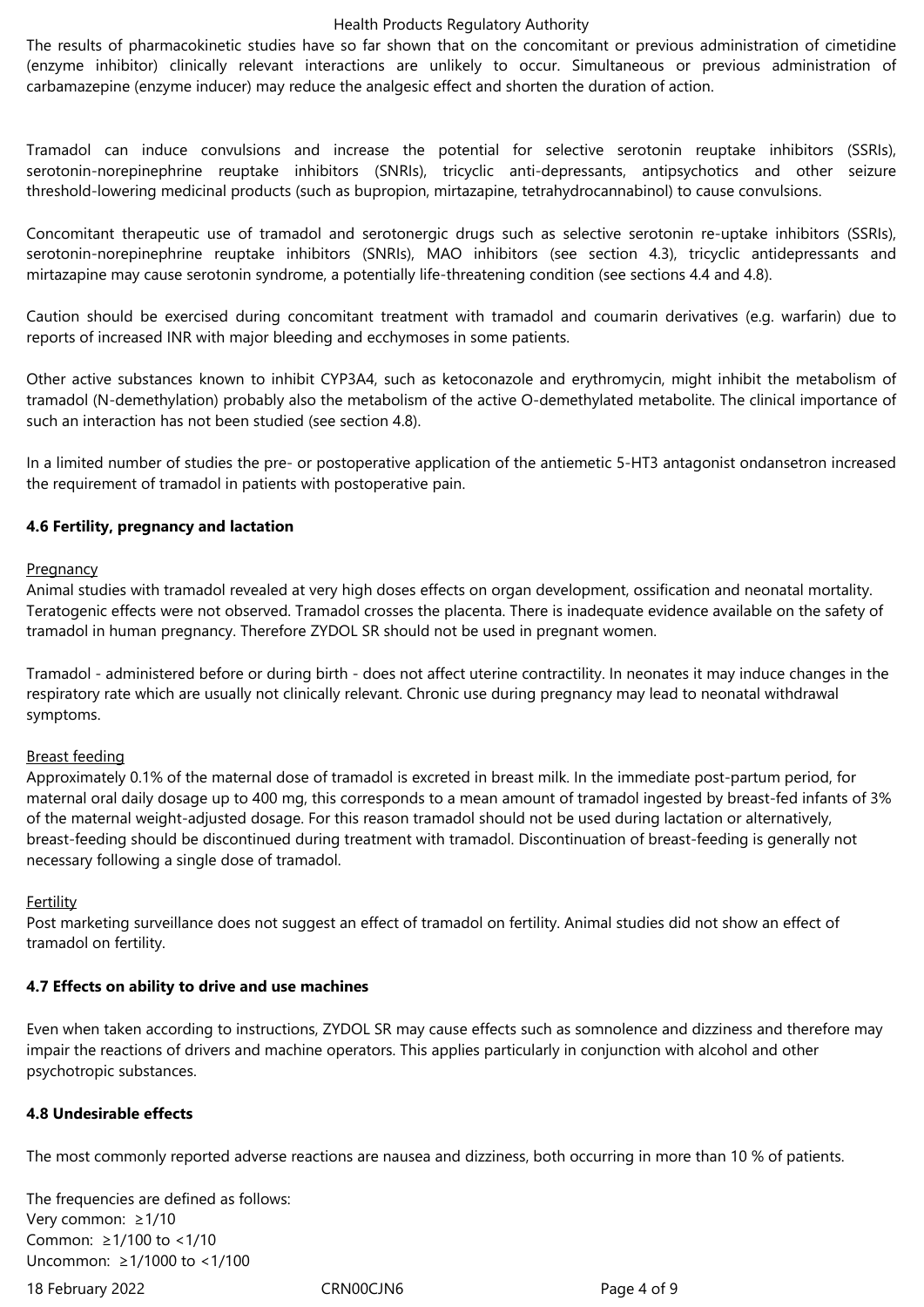The results of pharmacokinetic studies have so far shown that on the concomitant or previous administration of cimetidine (enzyme inhibitor) clinically relevant interactions are unlikely to occur. Simultaneous or previous administration of carbamazepine (enzyme inducer) may reduce the analgesic effect and shorten the duration of action.

Tramadol can induce convulsions and increase the potential for selective serotonin reuptake inhibitors (SSRIs), serotonin-norepinephrine reuptake inhibitors (SNRIs), tricyclic anti-depressants, antipsychotics and other seizure threshold-lowering medicinal products (such as bupropion, mirtazapine, tetrahydrocannabinol) to cause convulsions.

Concomitant therapeutic use of tramadol and serotonergic drugs such as selective serotonin re-uptake inhibitors (SSRIs), serotonin-norepinephrine reuptake inhibitors (SNRIs), MAO inhibitors (see section 4.3), tricyclic antidepressants and mirtazapine may cause serotonin syndrome, a potentially life-threatening condition (see sections 4.4 and 4.8).

Caution should be exercised during concomitant treatment with tramadol and coumarin derivatives (e.g. warfarin) due to reports of increased INR with major bleeding and ecchymoses in some patients.

Other active substances known to inhibit CYP3A4, such as ketoconazole and erythromycin, might inhibit the metabolism of tramadol (N-demethylation) probably also the metabolism of the active O-demethylated metabolite. The clinical importance of such an interaction has not been studied (see section 4.8).

In a limited number of studies the pre- or postoperative application of the antiemetic 5-HT3 antagonist ondansetron increased the requirement of tramadol in patients with postoperative pain.

#### **4.6 Fertility, pregnancy and lactation**

#### Pregnancy

Animal studies with tramadol revealed at very high doses effects on organ development, ossification and neonatal mortality. Teratogenic effects were not observed. Tramadol crosses the placenta. There is inadequate evidence available on the safety of tramadol in human pregnancy. Therefore ZYDOL SR should not be used in pregnant women.

Tramadol - administered before or during birth - does not affect uterine contractility. In neonates it may induce changes in the respiratory rate which are usually not clinically relevant. Chronic use during pregnancy may lead to neonatal withdrawal symptoms.

#### Breast feeding

Approximately 0.1% of the maternal dose of tramadol is excreted in breast milk. In the immediate post-partum period, for maternal oral daily dosage up to 400 mg, this corresponds to a mean amount of tramadol ingested by breast-fed infants of 3% of the maternal weight-adjusted dosage. For this reason tramadol should not be used during lactation or alternatively, breast-feeding should be discontinued during treatment with tramadol. Discontinuation of breast-feeding is generally not necessary following a single dose of tramadol.

#### Fertility

Post marketing surveillance does not suggest an effect of tramadol on fertility. Animal studies did not show an effect of tramadol on fertility.

#### **4.7 Effects on ability to drive and use machines**

Even when taken according to instructions, ZYDOL SR may cause effects such as somnolence and dizziness and therefore may impair the reactions of drivers and machine operators. This applies particularly in conjunction with alcohol and other psychotropic substances.

# **4.8 Undesirable effects**

The most commonly reported adverse reactions are nausea and dizziness, both occurring in more than 10 % of patients.

The frequencies are defined as follows: Very common: ≥1/10 Common: ≥1/100 to <1/10 Uncommon: ≥1/1000 to <1/100

18 February 2022 CRN00CJN6 Page 4 of 9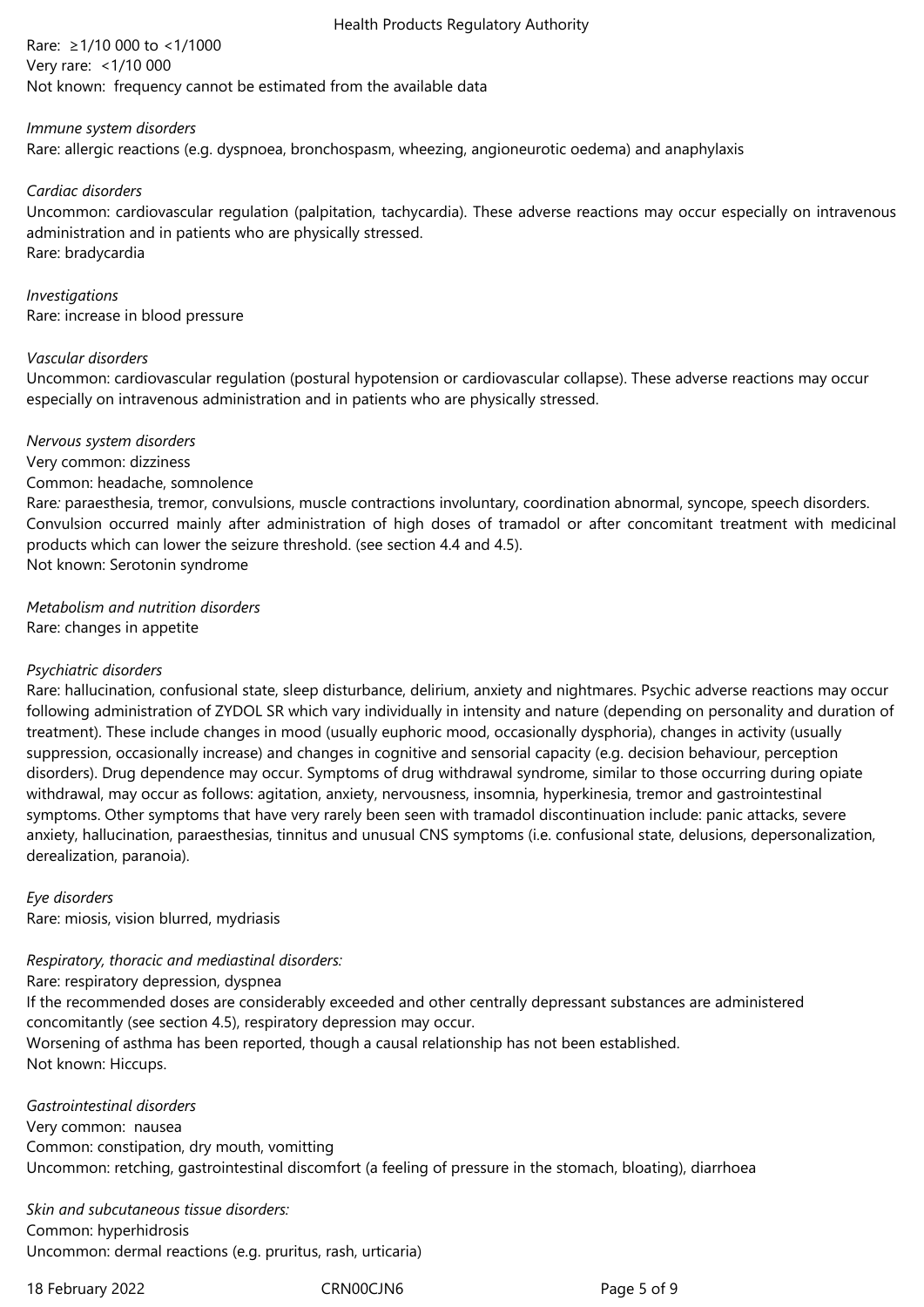Rare: ≥1/10 000 to <1/1000 Very rare: <1/10 000 Not known: frequency cannot be estimated from the available data

#### *Immune system disorders*

Rare: allergic reactions (e.g. dyspnoea, bronchospasm, wheezing, angioneurotic oedema) and anaphylaxis

#### *Cardiac disorders*

Uncommon: cardiovascular regulation (palpitation, tachycardia). These adverse reactions may occur especially on intravenous administration and in patients who are physically stressed. Rare: bradycardia

#### *Investigations*

Rare: increase in blood pressure

## *Vascular disorders*

Uncommon: cardiovascular regulation (postural hypotension or cardiovascular collapse). These adverse reactions may occur especially on intravenous administration and in patients who are physically stressed.

*Nervous system disorders*

#### Very common: dizziness Common: headache, somnolence

Rare*:* paraesthesia, tremor, convulsions, muscle contractions involuntary, coordination abnormal, syncope, speech disorders. Convulsion occurred mainly after administration of high doses of tramadol or after concomitant treatment with medicinal products which can lower the seizure threshold. (see section 4.4 and 4.5). Not known: Serotonin syndrome

*Metabolism and nutrition disorders* Rare: changes in appetite

# *Psychiatric disorders*

Rare: hallucination, confusional state, sleep disturbance, delirium, anxiety and nightmares. Psychic adverse reactions may occur following administration of ZYDOL SR which vary individually in intensity and nature (depending on personality and duration of treatment). These include changes in mood (usually euphoric mood, occasionally dysphoria), changes in activity (usually suppression, occasionally increase) and changes in cognitive and sensorial capacity (e.g. decision behaviour, perception disorders). Drug dependence may occur. Symptoms of drug withdrawal syndrome, similar to those occurring during opiate withdrawal, may occur as follows: agitation, anxiety, nervousness, insomnia, hyperkinesia, tremor and gastrointestinal symptoms. Other symptoms that have very rarely been seen with tramadol discontinuation include: panic attacks, severe anxiety, hallucination, paraesthesias, tinnitus and unusual CNS symptoms (i.e. confusional state, delusions, depersonalization, derealization, paranoia).

*Eye disorders* Rare: miosis, vision blurred, mydriasis

# *Respiratory, thoracic and mediastinal disorders:*

Rare: respiratory depression, dyspnea

If the recommended doses are considerably exceeded and other centrally depressant substances are administered concomitantly (see section 4.5), respiratory depression may occur. Worsening of asthma has been reported, though a causal relationship has not been established. Not known: Hiccups.

*Gastrointestinal disorders*  Very common: nausea Common: constipation, dry mouth, vomitting Uncommon: retching, gastrointestinal discomfort (a feeling of pressure in the stomach, bloating), diarrhoea

*Skin and subcutaneous tissue disorders:* Common: hyperhidrosis Uncommon: dermal reactions (e.g. pruritus, rash, urticaria)

18 February 2022 CRN00CJN6 Page 5 of 9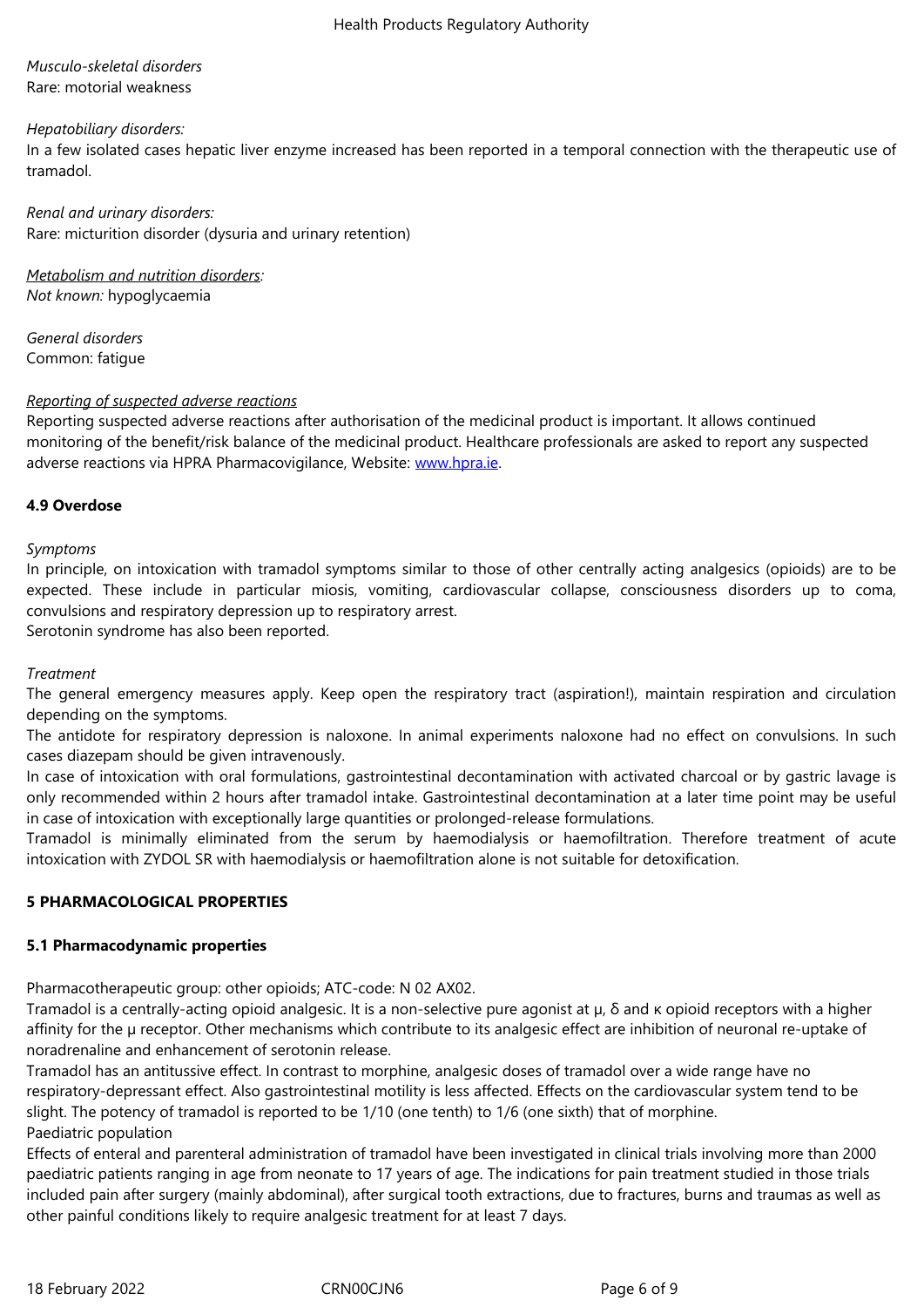#### Rare: motorial weakness

#### *Hepatobiliary disorders:*

In a few isolated cases hepatic liver enzyme increased has been reported in a temporal connection with the therapeutic use of tramadol.

*Renal and urinary disorders:* Rare: micturition disorder (dysuria and urinary retention)

*Metabolism and nutrition disorders: Not known:* hypoglycaemia

*General disorders* Common: fatigue

#### *Reporting of suspected adverse reactions*

Reporting suspected adverse reactions after authorisation of the medicinal product is important. It allows continued monitoring of the benefit/risk balance of the medicinal product. Healthcare professionals are asked to report any suspected adverse reactions via HPRA Pharmacovigilance, Website: www.hpra.ie.

# **4.9 Overdose**

## *Symptoms*

In principle, on intoxication with tramadol symptoms similar to those of other centrally acting analgesics (opioids) are to be expected. These include in particular miosis, vomiting, cardiovascular collapse, consciousness disorders up to coma, convulsions and respiratory depression up to respiratory arrest.

Serotonin syndrome has also been reported.

## *Treatment*

The general emergency measures apply. Keep open the respiratory tract (aspiration!), maintain respiration and circulation depending on the symptoms.

The antidote for respiratory depression is naloxone. In animal experiments naloxone had no effect on convulsions. In such cases diazepam should be given intravenously.

In case of intoxication with oral formulations, gastrointestinal decontamination with activated charcoal or by gastric lavage is only recommended within 2 hours after tramadol intake. Gastrointestinal decontamination at a later time point may be useful in case of intoxication with exceptionally large quantities or prolonged-release formulations.

Tramadol is minimally eliminated from the serum by haemodialysis or haemofiltration. Therefore treatment of acute intoxication with ZYDOL SR with haemodialysis or haemofiltration alone is not suitable for detoxification.

# **5 PHARMACOLOGICAL PROPERTIES**

# **5.1 Pharmacodynamic properties**

Pharmacotherapeutic group: other opioids; ATC-code: N 02 AX02.

Tramadol is a centrally-acting opioid analgesic. It is a non-selective pure agonist at µ, δ and κ opioid receptors with a higher affinity for the µ receptor. Other mechanisms which contribute to its analgesic effect are inhibition of neuronal re-uptake of noradrenaline and enhancement of serotonin release.

Tramadol has an antitussive effect. In contrast to morphine, analgesic doses of tramadol over a wide range have no respiratory-depressant effect. Also gastrointestinal motility is less affected. Effects on the cardiovascular system tend to be slight. The potency of tramadol is reported to be 1/10 (one tenth) to 1/6 (one sixth) that of morphine. Paediatric population

Effects of enteral and parenteral administration of tramadol have been investigated in clinical trials involving more than 2000 paediatric patients ranging in age from neonate to 17 years of age. The indications for pain treatment studied in those trials included pain after surgery (mainly abdominal), after surgical tooth extractions, due to fractures, burns and traumas as well as other painful conditions likely to require analgesic treatment for at least 7 days.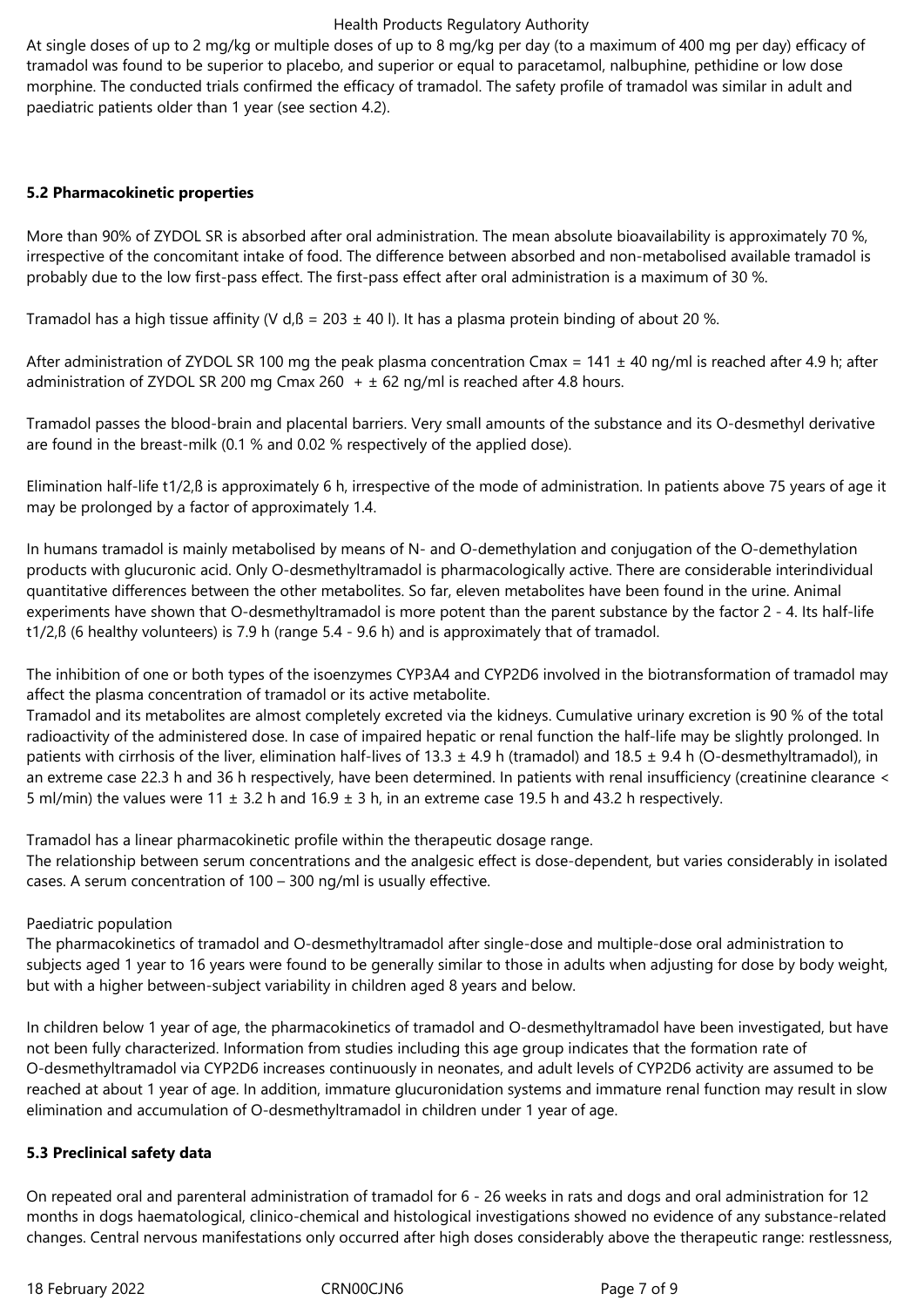At single doses of up to 2 mg/kg or multiple doses of up to 8 mg/kg per day (to a maximum of 400 mg per day) efficacy of tramadol was found to be superior to placebo, and superior or equal to paracetamol, nalbuphine, pethidine or low dose morphine. The conducted trials confirmed the efficacy of tramadol. The safety profile of tramadol was similar in adult and paediatric patients older than 1 year (see section 4.2).

## **5.2 Pharmacokinetic properties**

More than 90% of ZYDOL SR is absorbed after oral administration. The mean absolute bioavailability is approximately 70 %. irrespective of the concomitant intake of food. The difference between absorbed and non-metabolised available tramadol is probably due to the low first-pass effect. The first-pass effect after oral administration is a maximum of 30 %.

Tramadol has a high tissue affinity (V d, $\beta$  = 203  $\pm$  40 l). It has a plasma protein binding of about 20 %.

After administration of ZYDOL SR 100 mg the peak plasma concentration Cmax =  $141 \pm 40$  ng/ml is reached after 4.9 h; after administration of ZYDOL SR 200 mg Cmax 260  $+$   $\pm$  62 ng/ml is reached after 4.8 hours.

Tramadol passes the blood-brain and placental barriers. Very small amounts of the substance and its O-desmethyl derivative are found in the breast-milk (0.1 % and 0.02 % respectively of the applied dose).

Elimination half-life t1/2,ß is approximately 6 h, irrespective of the mode of administration. In patients above 75 years of age it may be prolonged by a factor of approximately 1.4.

In humans tramadol is mainly metabolised by means of N- and O-demethylation and conjugation of the O-demethylation products with glucuronic acid. Only O-desmethyltramadol is pharmacologically active. There are considerable interindividual quantitative differences between the other metabolites. So far, eleven metabolites have been found in the urine. Animal experiments have shown that O-desmethyltramadol is more potent than the parent substance by the factor 2 - 4. Its half-life t1/2,ß (6 healthy volunteers) is 7.9 h (range 5.4 - 9.6 h) and is approximately that of tramadol.

The inhibition of one or both types of the isoenzymes CYP3A4 and CYP2D6 involved in the biotransformation of tramadol may affect the plasma concentration of tramadol or its active metabolite.

Tramadol and its metabolites are almost completely excreted via the kidneys. Cumulative urinary excretion is 90 % of the total radioactivity of the administered dose. In case of impaired hepatic or renal function the half-life may be slightly prolonged. In patients with cirrhosis of the liver, elimination half-lives of 13.3  $\pm$  4.9 h (tramadol) and 18.5  $\pm$  9.4 h (O-desmethyltramadol), in an extreme case 22.3 h and 36 h respectively, have been determined. In patients with renal insufficiency (creatinine clearance < 5 ml/min) the values were 11  $\pm$  3.2 h and 16.9  $\pm$  3 h, in an extreme case 19.5 h and 43.2 h respectively.

Tramadol has a linear pharmacokinetic profile within the therapeutic dosage range.

The relationship between serum concentrations and the analgesic effect is dose-dependent, but varies considerably in isolated cases. A serum concentration of 100 – 300 ng/ml is usually effective.

Paediatric population

The pharmacokinetics of tramadol and O-desmethyltramadol after single-dose and multiple-dose oral administration to subjects aged 1 year to 16 years were found to be generally similar to those in adults when adjusting for dose by body weight, but with a higher between-subject variability in children aged 8 years and below.

In children below 1 year of age, the pharmacokinetics of tramadol and O-desmethyltramadol have been investigated, but have not been fully characterized. Information from studies including this age group indicates that the formation rate of O-desmethyltramadol via CYP2D6 increases continuously in neonates, and adult levels of CYP2D6 activity are assumed to be reached at about 1 year of age. In addition, immature glucuronidation systems and immature renal function may result in slow elimination and accumulation of O-desmethyltramadol in children under 1 year of age.

# **5.3 Preclinical safety data**

On repeated oral and parenteral administration of tramadol for 6 - 26 weeks in rats and dogs and oral administration for 12 months in dogs haematological, clinico-chemical and histological investigations showed no evidence of any substance-related changes. Central nervous manifestations only occurred after high doses considerably above the therapeutic range: restlessness,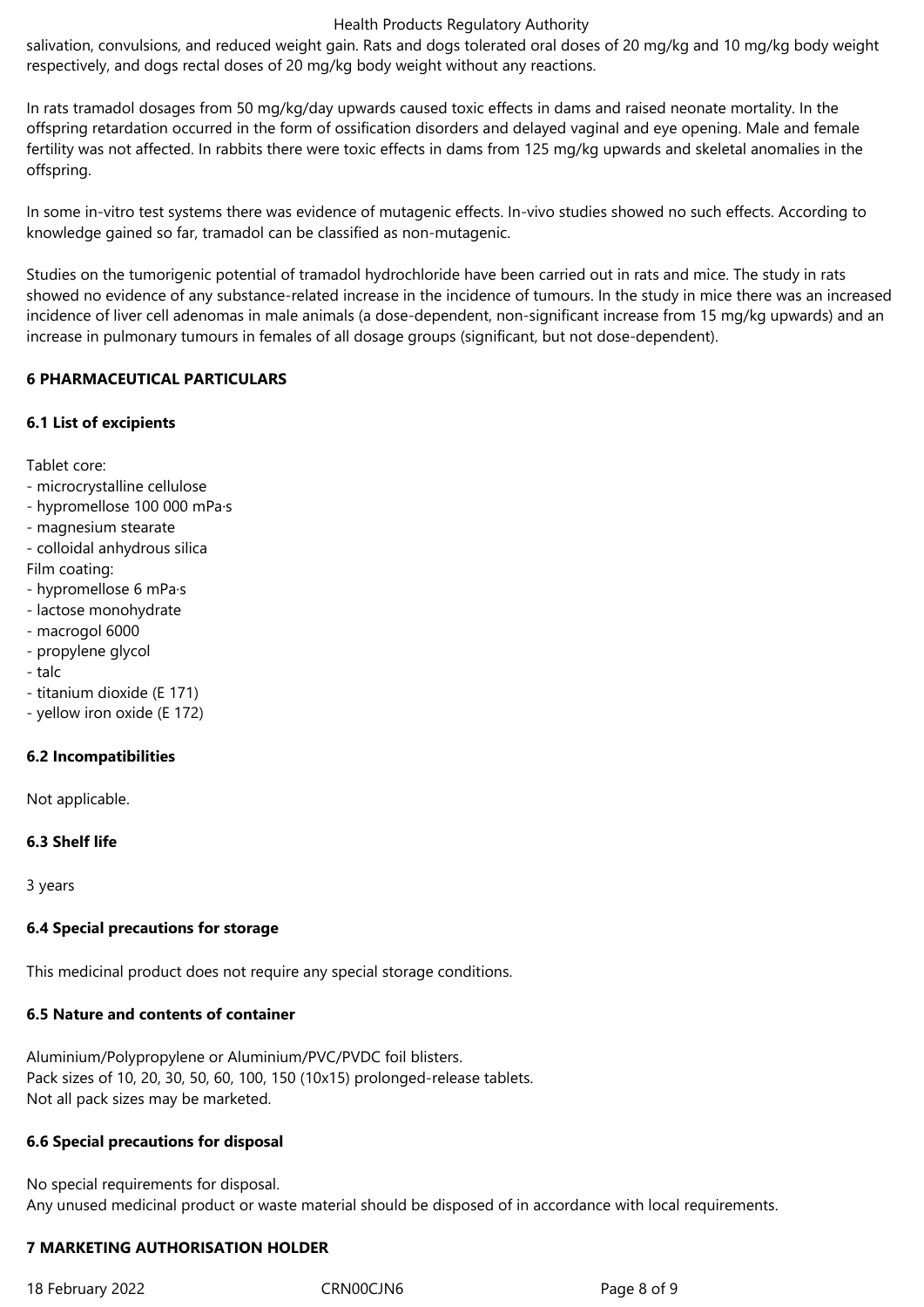salivation, convulsions, and reduced weight gain. Rats and dogs tolerated oral doses of 20 mg/kg and 10 mg/kg body weight respectively, and dogs rectal doses of 20 mg/kg body weight without any reactions.

In rats tramadol dosages from 50 mg/kg/day upwards caused toxic effects in dams and raised neonate mortality. In the offspring retardation occurred in the form of ossification disorders and delayed vaginal and eye opening. Male and female fertility was not affected. In rabbits there were toxic effects in dams from 125 mg/kg upwards and skeletal anomalies in the offspring.

In some in-vitro test systems there was evidence of mutagenic effects. In-vivo studies showed no such effects. According to knowledge gained so far, tramadol can be classified as non-mutagenic.

Studies on the tumorigenic potential of tramadol hydrochloride have been carried out in rats and mice. The study in rats showed no evidence of any substance-related increase in the incidence of tumours. In the study in mice there was an increased incidence of liver cell adenomas in male animals (a dose-dependent, non-significant increase from 15 mg/kg upwards) and an increase in pulmonary tumours in females of all dosage groups (significant, but not dose-dependent).

## **6 PHARMACEUTICAL PARTICULARS**

## **6.1 List of excipients**

Tablet core:

- microcrystalline cellulose
- hypromellose 100 000 mPa·s
- magnesium stearate
- colloidal anhydrous silica

Film coating:

- hypromellose 6 mPa·s
- lactose monohydrate
- macrogol 6000
- propylene glycol
- talc
- titanium dioxide (E 171)
- yellow iron oxide (E 172)

# **6.2 Incompatibilities**

Not applicable.

#### **6.3 Shelf life**

3 years

# **6.4 Special precautions for storage**

This medicinal product does not require any special storage conditions.

#### **6.5 Nature and contents of container**

Aluminium/Polypropylene or Aluminium/PVC/PVDC foil blisters. Pack sizes of 10, 20, 30, 50, 60, 100, 150 (10x15) prolonged-release tablets. Not all pack sizes may be marketed.

# **6.6 Special precautions for disposal**

No special requirements for disposal. Any unused medicinal product or waste material should be disposed of in accordance with local requirements.

# **7 MARKETING AUTHORISATION HOLDER**

18 February 2022 CRN00CJN6 Page 8 of 9